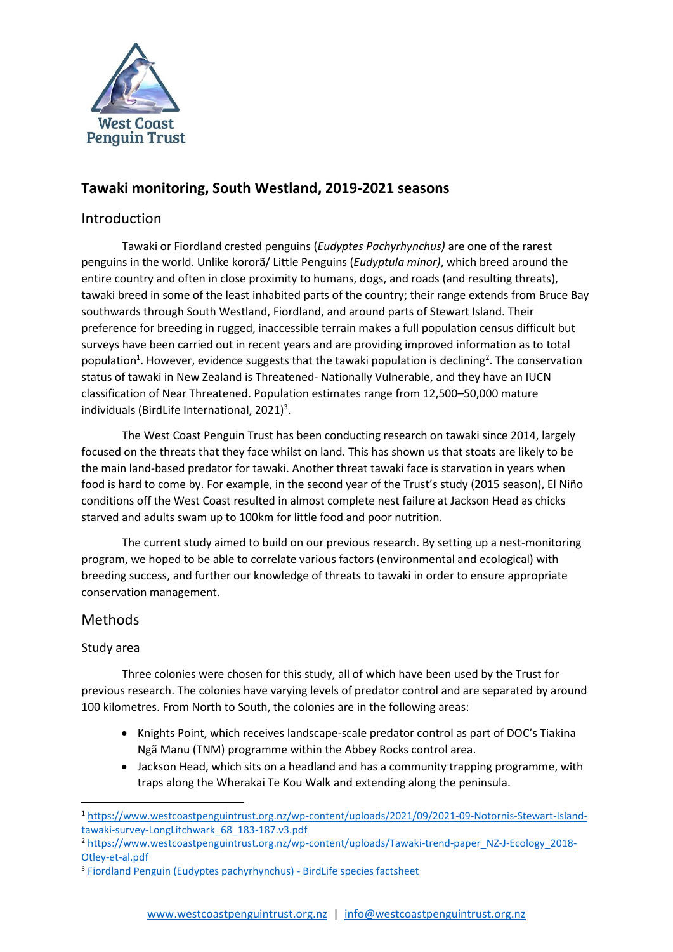

# **Tawaki monitoring, South Westland, 2019-2021 seasons**

## Introduction

Tawaki or Fiordland crested penguins (*Eudyptes Pachyrhynchus)* are one of the rarest penguins in the world. Unlike kororã/ Little Penguins (*Eudyptula minor)*, which breed around the entire country and often in close proximity to humans, dogs, and roads (and resulting threats), tawaki breed in some of the least inhabited parts of the country; their range extends from Bruce Bay southwards through South Westland, Fiordland, and around parts of Stewart Island. Their preference for breeding in rugged, inaccessible terrain makes a full population census difficult but surveys have been carried out in recent years and are providing improved information as to total population<sup>1</sup>. However, evidence suggests that the tawaki population is declining<sup>2</sup>. The conservation status of tawaki in New Zealand is Threatened- Nationally Vulnerable, and they have an IUCN classification of Near Threatened. Population estimates range from 12,500–50,000 mature individuals (BirdLife International,  $2021$ )<sup>3</sup>.

The West Coast Penguin Trust has been conducting research on tawaki since 2014, largely focused on the threats that they face whilst on land. This has shown us that stoats are likely to be the main land-based predator for tawaki. Another threat tawaki face is starvation in years when food is hard to come by. For example, in the second year of the Trust's study (2015 season), El Niño conditions off the West Coast resulted in almost complete nest failure at Jackson Head as chicks starved and adults swam up to 100km for little food and poor nutrition.

The current study aimed to build on our previous research. By setting up a nest-monitoring program, we hoped to be able to correlate various factors (environmental and ecological) with breeding success, and further our knowledge of threats to tawaki in order to ensure appropriate conservation management.

## Methods

### Study area

Three colonies were chosen for this study, all of which have been used by the Trust for previous research. The colonies have varying levels of predator control and are separated by around 100 kilometres. From North to South, the colonies are in the following areas:

- Knights Point, which receives landscape-scale predator control as part of DOC's Tiakina Ngã Manu (TNM) programme within the Abbey Rocks control area.
- Jackson Head, which sits on a headland and has a community trapping programme, with traps along the Wherakai Te Kou Walk and extending along the peninsula.

<sup>1</sup> [https://www.westcoastpenguintrust.org.nz/wp-content/uploads/2021/09/2021-09-Notornis-Stewart-Island](https://www.westcoastpenguintrust.org.nz/wp-content/uploads/2021/09/2021-09-Notornis-Stewart-Island-tawaki-survey-LongLitchwark_68_183-187.v3.pdf)[tawaki-survey-LongLitchwark\\_68\\_183-187.v3.pdf](https://www.westcoastpenguintrust.org.nz/wp-content/uploads/2021/09/2021-09-Notornis-Stewart-Island-tawaki-survey-LongLitchwark_68_183-187.v3.pdf)

<sup>&</sup>lt;sup>2</sup> [https://www.westcoastpenguintrust.org.nz/wp-content/uploads/Tawaki-trend-paper\\_NZ-J-Ecology\\_2018-](https://www.westcoastpenguintrust.org.nz/wp-content/uploads/Tawaki-trend-paper_NZ-J-Ecology_2018-Otley-et-al.pdf) [Otley-et-al.pdf](https://www.westcoastpenguintrust.org.nz/wp-content/uploads/Tawaki-trend-paper_NZ-J-Ecology_2018-Otley-et-al.pdf)

<sup>&</sup>lt;sup>3</sup> [Fiordland Penguin \(Eudyptes pachyrhynchus\) -](http://datazone.birdlife.org/species/factsheet/fiordland-penguin-eudyptes-pachyrhynchus) BirdLife species factsheet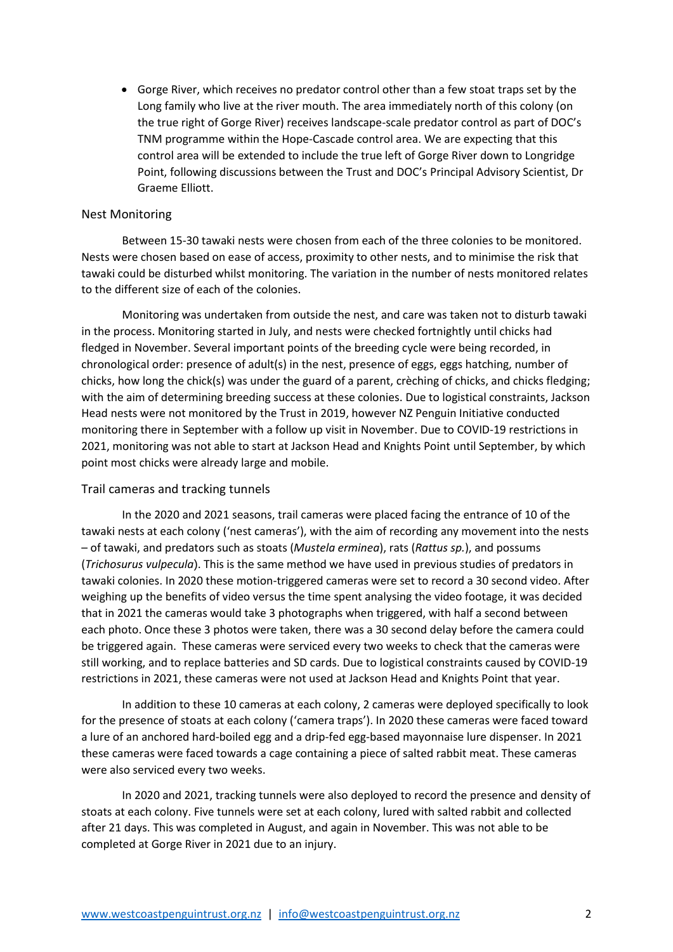• Gorge River, which receives no predator control other than a few stoat traps set by the Long family who live at the river mouth. The area immediately north of this colony (on the true right of Gorge River) receives landscape-scale predator control as part of DOC's TNM programme within the Hope-Cascade control area. We are expecting that this control area will be extended to include the true left of Gorge River down to Longridge Point, following discussions between the Trust and DOC's Principal Advisory Scientist, Dr Graeme Elliott.

#### Nest Monitoring

Between 15-30 tawaki nests were chosen from each of the three colonies to be monitored. Nests were chosen based on ease of access, proximity to other nests, and to minimise the risk that tawaki could be disturbed whilst monitoring. The variation in the number of nests monitored relates to the different size of each of the colonies.

Monitoring was undertaken from outside the nest, and care was taken not to disturb tawaki in the process. Monitoring started in July, and nests were checked fortnightly until chicks had fledged in November. Several important points of the breeding cycle were being recorded, in chronological order: presence of adult(s) in the nest, presence of eggs, eggs hatching, number of chicks, how long the chick(s) was under the guard of a parent, crèching of chicks, and chicks fledging; with the aim of determining breeding success at these colonies. Due to logistical constraints, Jackson Head nests were not monitored by the Trust in 2019, however NZ Penguin Initiative conducted monitoring there in September with a follow up visit in November. Due to COVID-19 restrictions in 2021, monitoring was not able to start at Jackson Head and Knights Point until September, by which point most chicks were already large and mobile.

#### Trail cameras and tracking tunnels

In the 2020 and 2021 seasons, trail cameras were placed facing the entrance of 10 of the tawaki nests at each colony ('nest cameras'), with the aim of recording any movement into the nests – of tawaki, and predators such as stoats (*Mustela erminea*), rats (*Rattus sp.*), and possums (*Trichosurus vulpecula*). This is the same method we have used in previous studies of predators in tawaki colonies. In 2020 these motion-triggered cameras were set to record a 30 second video. After weighing up the benefits of video versus the time spent analysing the video footage, it was decided that in 2021 the cameras would take 3 photographs when triggered, with half a second between each photo. Once these 3 photos were taken, there was a 30 second delay before the camera could be triggered again. These cameras were serviced every two weeks to check that the cameras were still working, and to replace batteries and SD cards. Due to logistical constraints caused by COVID-19 restrictions in 2021, these cameras were not used at Jackson Head and Knights Point that year.

In addition to these 10 cameras at each colony, 2 cameras were deployed specifically to look for the presence of stoats at each colony ('camera traps'). In 2020 these cameras were faced toward a lure of an anchored hard-boiled egg and a drip-fed egg-based mayonnaise lure dispenser. In 2021 these cameras were faced towards a cage containing a piece of salted rabbit meat. These cameras were also serviced every two weeks.

In 2020 and 2021, tracking tunnels were also deployed to record the presence and density of stoats at each colony. Five tunnels were set at each colony, lured with salted rabbit and collected after 21 days. This was completed in August, and again in November. This was not able to be completed at Gorge River in 2021 due to an injury.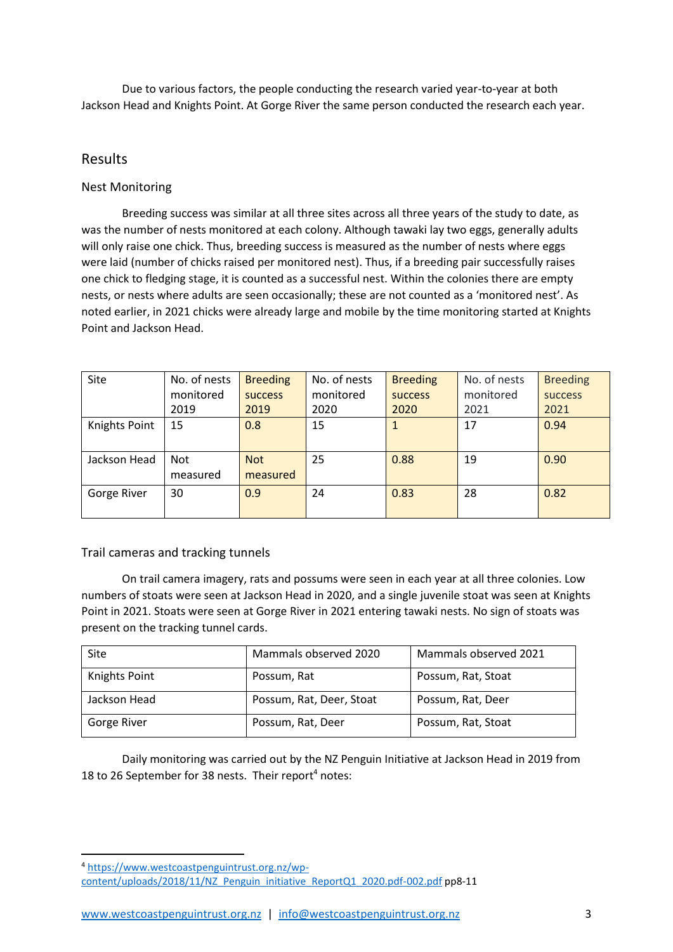Due to various factors, the people conducting the research varied year-to-year at both Jackson Head and Knights Point. At Gorge River the same person conducted the research each year.

### Results

### Nest Monitoring

Breeding success was similar at all three sites across all three years of the study to date, as was the number of nests monitored at each colony. Although tawaki lay two eggs, generally adults will only raise one chick. Thus, breeding success is measured as the number of nests where eggs were laid (number of chicks raised per monitored nest). Thus, if a breeding pair successfully raises one chick to fledging stage, it is counted as a successful nest. Within the colonies there are empty nests, or nests where adults are seen occasionally; these are not counted as a 'monitored nest'. As noted earlier, in 2021 chicks were already large and mobile by the time monitoring started at Knights Point and Jackson Head.

| Site          | No. of nests | <b>Breeding</b> | No. of nests | <b>Breeding</b> | No. of nests | <b>Breeding</b> |
|---------------|--------------|-----------------|--------------|-----------------|--------------|-----------------|
|               | monitored    | <b>SUCCESS</b>  | monitored    | <b>SUCCESS</b>  | monitored    | <b>SUCCESS</b>  |
|               | 2019         | 2019            | 2020         | 2020            | 2021         | 2021            |
| Knights Point | 15           | 0.8             | 15           |                 | 17           | 0.94            |
|               |              |                 |              |                 |              |                 |
| Jackson Head  | <b>Not</b>   | <b>Not</b>      | 25           | 0.88            | 19           | 0.90            |
|               | measured     | measured        |              |                 |              |                 |
| Gorge River   | 30           | 0.9             | 24           | 0.83            | 28           | 0.82            |
|               |              |                 |              |                 |              |                 |

Trail cameras and tracking tunnels

On trail camera imagery, rats and possums were seen in each year at all three colonies. Low numbers of stoats were seen at Jackson Head in 2020, and a single juvenile stoat was seen at Knights Point in 2021. Stoats were seen at Gorge River in 2021 entering tawaki nests. No sign of stoats was present on the tracking tunnel cards.

| Site                 | Mammals observed 2020    | Mammals observed 2021 |
|----------------------|--------------------------|-----------------------|
| <b>Knights Point</b> | Possum, Rat              | Possum, Rat, Stoat    |
| Jackson Head         | Possum, Rat, Deer, Stoat | Possum, Rat, Deer     |
| Gorge River          | Possum, Rat, Deer        | Possum, Rat, Stoat    |

Daily monitoring was carried out by the NZ Penguin Initiative at Jackson Head in 2019 from 18 to 26 September for 38 nests. Their report<sup>4</sup> notes:

[www.westcoastpenguintrust.org.nz](http://www.westcoastpenguintrust.org.nz/) | [info@westcoastpenguintrust.org.nz](mailto:info@westcoastpenguintrust.org.nz) 3

<sup>4</sup> [https://www.westcoastpenguintrust.org.nz/wp](https://www.westcoastpenguintrust.org.nz/wp-content/uploads/2018/11/NZ_Penguin_initiative_ReportQ1_2020.pdf-002.pdf)[content/uploads/2018/11/NZ\\_Penguin\\_initiative\\_ReportQ1\\_2020.pdf-002.pdf](https://www.westcoastpenguintrust.org.nz/wp-content/uploads/2018/11/NZ_Penguin_initiative_ReportQ1_2020.pdf-002.pdf) pp8-11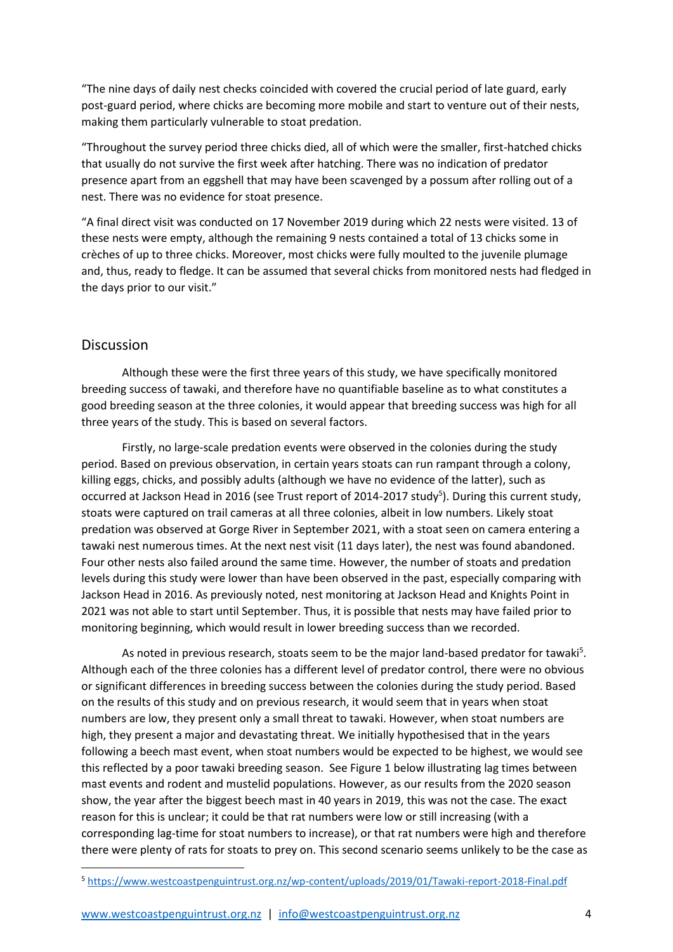"The nine days of daily nest checks coincided with covered the crucial period of late guard, early post-guard period, where chicks are becoming more mobile and start to venture out of their nests, making them particularly vulnerable to stoat predation.

"Throughout the survey period three chicks died, all of which were the smaller, first-hatched chicks that usually do not survive the first week after hatching. There was no indication of predator presence apart from an eggshell that may have been scavenged by a possum after rolling out of a nest. There was no evidence for stoat presence.

"A final direct visit was conducted on 17 November 2019 during which 22 nests were visited. 13 of these nests were empty, although the remaining 9 nests contained a total of 13 chicks some in crèches of up to three chicks. Moreover, most chicks were fully moulted to the juvenile plumage and, thus, ready to fledge. It can be assumed that several chicks from monitored nests had fledged in the days prior to our visit."

### Discussion

Although these were the first three years of this study, we have specifically monitored breeding success of tawaki, and therefore have no quantifiable baseline as to what constitutes a good breeding season at the three colonies, it would appear that breeding success was high for all three years of the study. This is based on several factors.

Firstly, no large-scale predation events were observed in the colonies during the study period. Based on previous observation, in certain years stoats can run rampant through a colony, killing eggs, chicks, and possibly adults (although we have no evidence of the latter), such as occurred at Jackson Head in 2016 (see Trust report of 2014-2017 study<sup>5</sup>). During this current study, stoats were captured on trail cameras at all three colonies, albeit in low numbers. Likely stoat predation was observed at Gorge River in September 2021, with a stoat seen on camera entering a tawaki nest numerous times. At the next nest visit (11 days later), the nest was found abandoned. Four other nests also failed around the same time. However, the number of stoats and predation levels during this study were lower than have been observed in the past, especially comparing with Jackson Head in 2016. As previously noted, nest monitoring at Jackson Head and Knights Point in 2021 was not able to start until September. Thus, it is possible that nests may have failed prior to monitoring beginning, which would result in lower breeding success than we recorded.

As noted in previous research, stoats seem to be the major land-based predator for tawaki<sup>5</sup>. Although each of the three colonies has a different level of predator control, there were no obvious or significant differences in breeding success between the colonies during the study period. Based on the results of this study and on previous research, it would seem that in years when stoat numbers are low, they present only a small threat to tawaki. However, when stoat numbers are high, they present a major and devastating threat. We initially hypothesised that in the years following a beech mast event, when stoat numbers would be expected to be highest, we would see this reflected by a poor tawaki breeding season. See Figure 1 below illustrating lag times between mast events and rodent and mustelid populations. However, as our results from the 2020 season show, the year after the biggest beech mast in 40 years in 2019, this was not the case. The exact reason for this is unclear; it could be that rat numbers were low or still increasing (with a corresponding lag-time for stoat numbers to increase), or that rat numbers were high and therefore there were plenty of rats for stoats to prey on. This second scenario seems unlikely to be the case as

[www.westcoastpenguintrust.org.nz](http://www.westcoastpenguintrust.org.nz/) | [info@westcoastpenguintrust.org.nz](mailto:info@westcoastpenguintrust.org.nz) 4

<sup>5</sup> <https://www.westcoastpenguintrust.org.nz/wp-content/uploads/2019/01/Tawaki-report-2018-Final.pdf>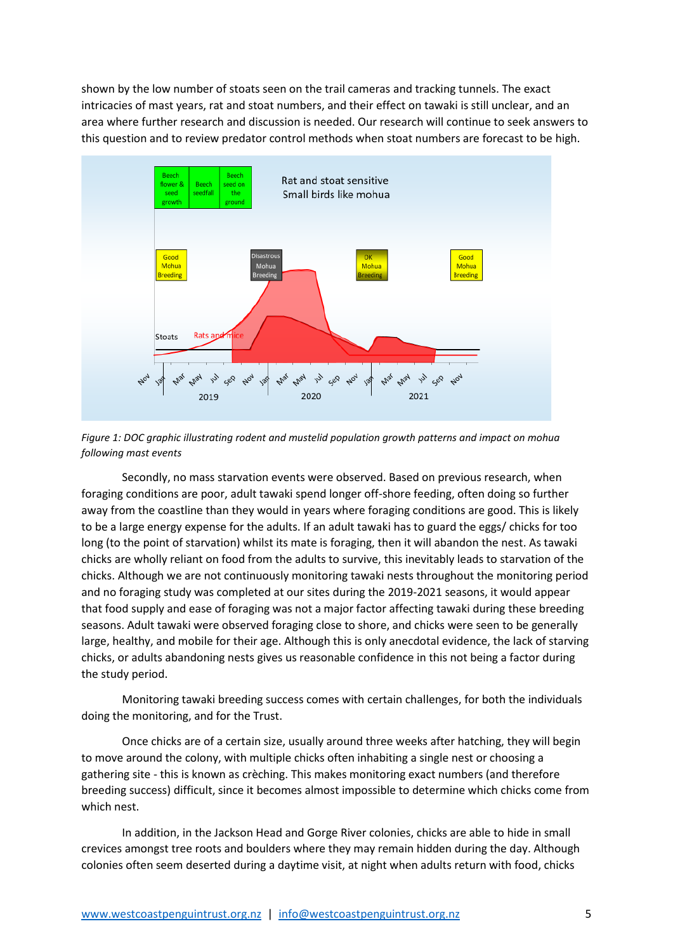shown by the low number of stoats seen on the trail cameras and tracking tunnels. The exact intricacies of mast years, rat and stoat numbers, and their effect on tawaki is still unclear, and an area where further research and discussion is needed. Our research will continue to seek answers to this question and to review predator control methods when stoat numbers are forecast to be high.



*Figure 1: DOC graphic illustrating rodent and mustelid population growth patterns and impact on mohua following mast events*

Secondly, no mass starvation events were observed. Based on previous research, when foraging conditions are poor, adult tawaki spend longer off-shore feeding, often doing so further away from the coastline than they would in years where foraging conditions are good. This is likely to be a large energy expense for the adults. If an adult tawaki has to guard the eggs/ chicks for too long (to the point of starvation) whilst its mate is foraging, then it will abandon the nest. As tawaki chicks are wholly reliant on food from the adults to survive, this inevitably leads to starvation of the chicks. Although we are not continuously monitoring tawaki nests throughout the monitoring period and no foraging study was completed at our sites during the 2019-2021 seasons, it would appear that food supply and ease of foraging was not a major factor affecting tawaki during these breeding seasons. Adult tawaki were observed foraging close to shore, and chicks were seen to be generally large, healthy, and mobile for their age. Although this is only anecdotal evidence, the lack of starving chicks, or adults abandoning nests gives us reasonable confidence in this not being a factor during the study period.

Monitoring tawaki breeding success comes with certain challenges, for both the individuals doing the monitoring, and for the Trust.

Once chicks are of a certain size, usually around three weeks after hatching, they will begin to move around the colony, with multiple chicks often inhabiting a single nest or choosing a gathering site - this is known as crèching. This makes monitoring exact numbers (and therefore breeding success) difficult, since it becomes almost impossible to determine which chicks come from which nest.

In addition, in the Jackson Head and Gorge River colonies, chicks are able to hide in small crevices amongst tree roots and boulders where they may remain hidden during the day. Although colonies often seem deserted during a daytime visit, at night when adults return with food, chicks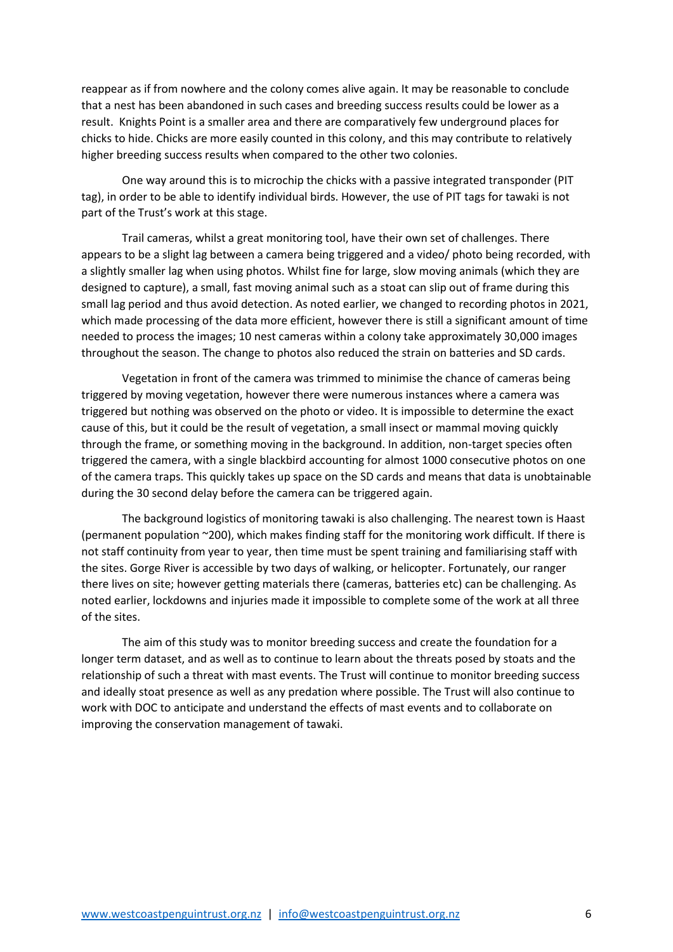reappear as if from nowhere and the colony comes alive again. It may be reasonable to conclude that a nest has been abandoned in such cases and breeding success results could be lower as a result. Knights Point is a smaller area and there are comparatively few underground places for chicks to hide. Chicks are more easily counted in this colony, and this may contribute to relatively higher breeding success results when compared to the other two colonies.

One way around this is to microchip the chicks with a passive integrated transponder (PIT tag), in order to be able to identify individual birds. However, the use of PIT tags for tawaki is not part of the Trust's work at this stage.

Trail cameras, whilst a great monitoring tool, have their own set of challenges. There appears to be a slight lag between a camera being triggered and a video/ photo being recorded, with a slightly smaller lag when using photos. Whilst fine for large, slow moving animals (which they are designed to capture), a small, fast moving animal such as a stoat can slip out of frame during this small lag period and thus avoid detection. As noted earlier, we changed to recording photos in 2021, which made processing of the data more efficient, however there is still a significant amount of time needed to process the images; 10 nest cameras within a colony take approximately 30,000 images throughout the season. The change to photos also reduced the strain on batteries and SD cards.

Vegetation in front of the camera was trimmed to minimise the chance of cameras being triggered by moving vegetation, however there were numerous instances where a camera was triggered but nothing was observed on the photo or video. It is impossible to determine the exact cause of this, but it could be the result of vegetation, a small insect or mammal moving quickly through the frame, or something moving in the background. In addition, non-target species often triggered the camera, with a single blackbird accounting for almost 1000 consecutive photos on one of the camera traps. This quickly takes up space on the SD cards and means that data is unobtainable during the 30 second delay before the camera can be triggered again.

The background logistics of monitoring tawaki is also challenging. The nearest town is Haast (permanent population ~200), which makes finding staff for the monitoring work difficult. If there is not staff continuity from year to year, then time must be spent training and familiarising staff with the sites. Gorge River is accessible by two days of walking, or helicopter. Fortunately, our ranger there lives on site; however getting materials there (cameras, batteries etc) can be challenging. As noted earlier, lockdowns and injuries made it impossible to complete some of the work at all three of the sites.

The aim of this study was to monitor breeding success and create the foundation for a longer term dataset, and as well as to continue to learn about the threats posed by stoats and the relationship of such a threat with mast events. The Trust will continue to monitor breeding success and ideally stoat presence as well as any predation where possible. The Trust will also continue to work with DOC to anticipate and understand the effects of mast events and to collaborate on improving the conservation management of tawaki.